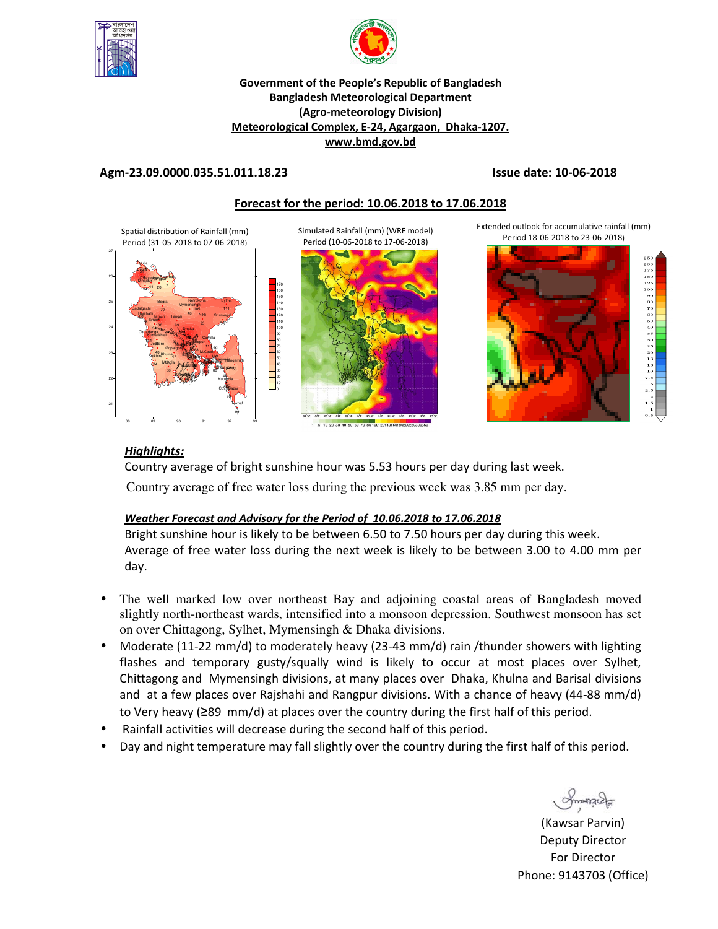



## **Government of the People's Republic of Bangladesh Bangladesh Meteorological Department (Agro-meteorology Division) Meteorological Complex, E-24, Agargaon, Dhaka-1207. www.bmd.gov.bd**

## **Agm-23.09.0000.035.51.011.18.23 Issue date: 10-06-2018**

## **Forecast for the period: 10.06.2018 to 17.06.2018**

Spatial distribution of Rainfall (mm) Period (31-05-2018 to 07-06-2018)



Simulated Rainfall (mm) (WRF model) Period (10-06-2018 to 17-06-2018)



Extended outlook for accumulative rainfall (mm) Period 18-06-2018 to 23-06-2018)



# *Highlights:*

Country average of bright sunshine hour was 5.53 hours per day during last week. Country average of free water loss during the previous week was 3.85 mm per day.

# *Weather Forecast and Advisory for the Period of 10.06.2018 to 17.06.2018*

Bright sunshine hour is likely to be between 6.50 to 7.50 hours per day during this week. Average of free water loss during the next week is likely to be between 3.00 to 4.00 mm per day.

- The well marked low over northeast Bay and adjoining coastal areas of Bangladesh moved slightly north-northeast wards, intensified into a monsoon depression. Southwest monsoon has set on over Chittagong, Sylhet, Mymensingh & Dhaka divisions.
- Moderate (11-22 mm/d) to moderately heavy (23-43 mm/d) rain /thunder showers with lighting flashes and temporary gusty/squally wind is likely to occur at most places over Sylhet, Chittagong and Mymensingh divisions, at many places over Dhaka, Khulna and Barisal divisions and at a few places over Rajshahi and Rangpur divisions. With a chance of heavy (44-88 mm/d) to Very heavy (**≥**89 mm/d) at places over the country during the first half of this period.
- Rainfall activities will decrease during the second half of this period.
- Day and night temperature may fall slightly over the country during the first half of this period.

**Promound** 

(Kawsar Parvin) Deputy Director For Director Phone: 9143703 (Office)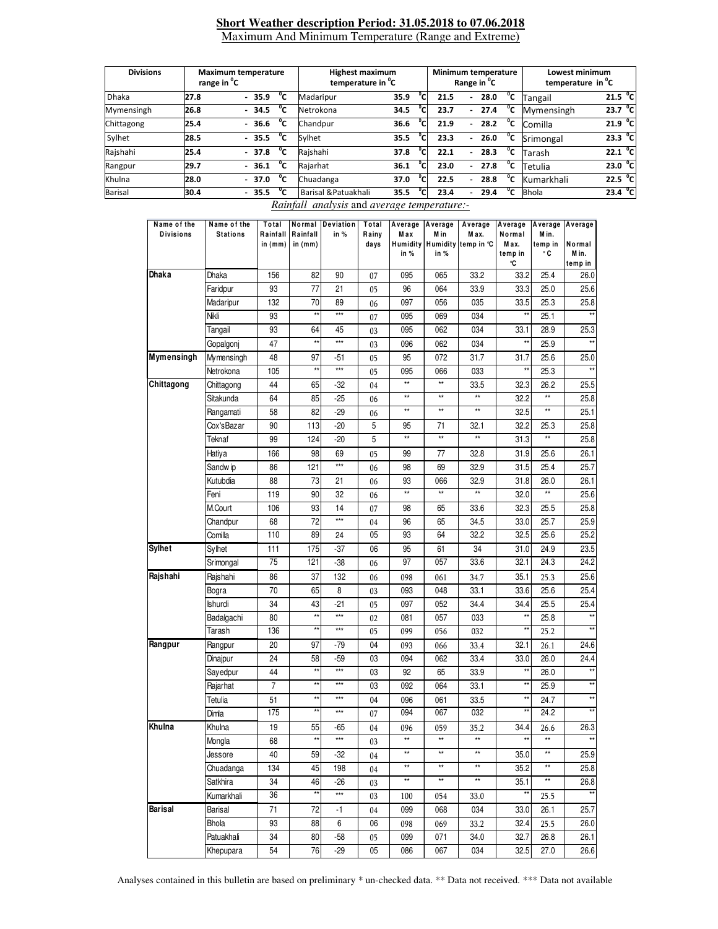### **Short Weather description Period: 31.05.2018 to 07.06.2018** Maximum And Minimum Temperature (Range and Extreme)

| <b>Divisions</b> | range in <sup>o</sup> C | <b>Maximum temperature</b> | <b>Highest maximum</b><br>temperature in <sup>"</sup> C |                      | Minimum temperature<br>Range in <sup>o</sup> C |                                  | Lowest minimum<br>temperature in <sup>o</sup> C |              |                      |
|------------------|-------------------------|----------------------------|---------------------------------------------------------|----------------------|------------------------------------------------|----------------------------------|-------------------------------------------------|--------------|----------------------|
| <b>Dhaka</b>     | 27.8                    | °c<br>$-35.9$              | Madaripur                                               | °c<br>35.9           | 21.5                                           | 28.0<br>$\overline{\phantom{a}}$ | °c                                              | Tangail      | 21.5 <sup>o</sup> C  |
| Mymensingh       | 26.8                    | °c<br>$-34.5$              | Netrokona                                               | °Cı<br>34.5          | 23.7                                           | 27.4<br>$\overline{\phantom{a}}$ | °c                                              | Mymensingh   | $^{\circ}$ c<br>23.7 |
| Chittagong       | 25.4                    | °c<br>$-36.6$              | Chandpur                                                | °c.<br>36.6          | 21.9                                           | 28.2<br>$\overline{\phantom{0}}$ | °c                                              | Comilla      | 21.9 $^{\circ}$ C    |
| Sylhet           | 28.5                    | °c<br>$-35.5$              | Sylhet                                                  | °Cı<br>35.5          | 23.3                                           | 26.0<br>$\overline{\phantom{a}}$ | °c                                              | Srimongal    | 23.3 $^{\circ}$ C    |
| Rajshahi         | 25.4                    | °c<br>$-37.8$              | Rajshahi                                                | °c<br>37.8           | 22.1                                           | 28.3<br>$\overline{\phantom{0}}$ | °c                                              | Tarash       | 22.1 $^{\circ}$ C    |
| Rangpur          | 29.7                    | °c<br>$-36.1$              | Rajarhat                                                | $^0$ C<br>36.1       | 23.0                                           | 27.8<br>$\overline{\phantom{a}}$ | °c                                              | Tetulia      | 23.0 $^{\circ}$ C    |
| Khulna           | 28.0                    | °c<br>$-37.0$              | Chuadanga                                               | °Cı<br>37.0          | 22.5                                           | 28.8<br>۰.                       | °c                                              | Kumarkhali   | 22.5 <sup>o</sup> C  |
| <b>Barisal</b>   | 30.4                    | °c<br>35.5                 | Barisal & Patuakhali                                    | $^{\circ}$ C<br>35.5 | 23.4                                           | 29.4                             | °c                                              | <b>Bhola</b> | 23.4 $^{\circ}$ C    |

*Rainfall analysis* and *average temperature:-*

| Name of the<br><b>Divisions</b> | Name of the<br><b>Stations</b> | Total<br>Rainfall<br>in $(mm)$ | Normal<br>Rainfall<br>in $(mm)$ | Deviation<br>in % | Total<br>Rainy<br>days | Average<br>Max<br>Humidity<br>in % | Average<br>M in<br>in % | Average<br>M ax.<br>Humidity temp in °C | Average<br>Normal<br>Max.<br>temp in<br>°C | Average<br>M in.<br>temp in<br>۰c | Average<br>Normal<br>M in.<br>temp in |
|---------------------------------|--------------------------------|--------------------------------|---------------------------------|-------------------|------------------------|------------------------------------|-------------------------|-----------------------------------------|--------------------------------------------|-----------------------------------|---------------------------------------|
| <b>Dhaka</b>                    | Dhaka                          | 156                            | 82                              | 90                | 07                     | 095                                | 065                     | 33.2                                    | 33.2                                       | 25.4                              | 26.0                                  |
|                                 | Faridpur                       | 93                             | 77                              | 21                | 05                     | 96                                 | 064                     | 33.9                                    | 33.3                                       | 25.0                              | 25.6                                  |
|                                 | Madaripur                      | 132                            | 70                              | 89                | 06                     | 097                                | 056                     | 035                                     | 33.5                                       | 25.3                              | 25.8                                  |
|                                 | Nikli                          | 93                             | $\star\star$                    | ***               | 07                     | 095                                | 069                     | 034                                     | ××                                         | 25.1                              |                                       |
|                                 | Tangail                        | 93                             | 64                              | 45                | 03                     | 095                                | 062                     | 034                                     | 33.1                                       | 28.9                              | 25.3                                  |
|                                 | Gopalgonj                      | 47                             | $\star\star$                    | ***               | 03                     | 096                                | 062                     | 034                                     | $\star\star$                               | 25.9                              | $**$                                  |
| Mymensingh                      | Mymensingh                     | 48                             | 97                              | $-51$             | 05                     | 95                                 | 072                     | 31.7                                    | 31.7                                       | 25.6                              | 25.0                                  |
|                                 | Netrokona                      | 105                            | $\star\star$                    | ***               | 05                     | 095                                | 066                     | 033                                     | $\star\star$                               | 25.3                              | $\star\star$                          |
| Chittagong                      | Chittagong                     | 44                             | 65                              | -32               | 04                     | $^{\star\star}$                    | $\star\star$            | 33.5                                    | 32.3                                       | 26.2                              | 25.5                                  |
|                                 | Sitakunda                      | 64                             | 85                              | $-25$             | 06                     | $\star\star$                       | $\star\star$            | **                                      | 32.2                                       | $\star\star$                      | 25.8                                  |
|                                 | Rangamati                      | 58                             | 82                              | -29               | 06                     | $\star\star$                       | $\star\star$            | **                                      | 32.5                                       | $\star\star$                      | 25.1                                  |
|                                 | Cox'sBazar                     | 90                             | 113                             | $-20$             | 5                      | 95                                 | 71                      | 32.1                                    | 32.2                                       | 25.3                              | 25.8                                  |
|                                 | Teknaf                         | 99                             | 124                             | $-20$             | 5                      | $\star\star$                       | $\star\star$            | **                                      | 31.3                                       | $\overline{\phantom{a}}$          | 25.8                                  |
|                                 | Hatiya                         | 166                            | 98                              | 69                | 05                     | 99                                 | 77                      | 32.8                                    | 31.9                                       | 25.6                              | 26.1                                  |
|                                 | Sandw ip                       | 86                             | 121                             | ***               | 06                     | 98                                 | 69                      | 32.9                                    | 31.5                                       | 25.4                              | 25.7                                  |
|                                 | Kutubdia                       | 88                             | 73                              | 21                | 06                     | 93                                 | 066                     | 32.9                                    | 31.8                                       | 26.0                              | 26.1                                  |
|                                 | Feni                           | 119                            | 90                              | 32                | 06                     | $\star\star$                       | $\star\star$            | $\star\star$                            | 32.0                                       | $\star\star$                      | 25.6                                  |
|                                 | M.Court                        | 106                            | 93                              | 14                | 07                     | 98                                 | 65                      | 33.6                                    | 32.3                                       | 25.5                              | 25.8                                  |
|                                 | Chandpur                       | 68                             | 72                              | ***               | 04                     | 96                                 | 65                      | 34.5                                    | 33.0                                       | 25.7                              | 25.9                                  |
|                                 | Comilla                        | 110                            | 89                              | 24                | 05                     | 93                                 | 64                      | 32.2                                    | 32.5                                       | 25.6                              | 25.2                                  |
| <b>Sylhet</b>                   | Sylhet                         | 111                            | 175                             | -37               | 06                     | 95                                 | 61                      | 34                                      | 31.0                                       | 24.9                              | 23.5                                  |
|                                 | Srimongal                      | 75                             | 121                             | $-38$             | 06                     | 97                                 | 057                     | 33.6                                    | 32.1                                       | 24.3                              | 24.2                                  |
| Rajshahi                        | Rajshahi                       | 86                             | 37                              | 132               | 06                     | 098                                | 061                     | 34.7                                    | 35.1                                       | 25.3                              | 25.6                                  |
|                                 | Bogra                          | 70                             | 65                              | 8                 | 03                     | 093                                | 048                     | 33.1                                    | 33.6                                       | 25.6                              | 25.4                                  |
|                                 | Ishurdi                        | 34                             | 43                              | $-21$             | 05                     | 097                                | 052                     | 34.4                                    | 34.4                                       | 25.5                              | 25.4                                  |
|                                 | Badalgachi                     | 80                             | $\star\star$                    | $***$             | 02                     | 081                                | 057                     | 033                                     | $\star\star$                               | 25.8                              | $\star\star$                          |
|                                 | Tarash                         | 136                            | $\star\star$                    | ***               | 05                     | 099                                | 056                     | 032                                     | $\star\star$                               | 25.2                              |                                       |
| Rangpur                         | Rangpur                        | 20                             | 97                              | $-79$             | 04                     | 093                                | 066                     | 33.4                                    | 32.1                                       | 26.1                              | 24.6                                  |
|                                 | Dinajpur                       | 24                             | 58                              | $-59$             | 03                     | 094                                | 062                     | 33.4                                    | 33.0                                       | 26.0                              | 24.4                                  |
|                                 | Sayedpur                       | 44                             | $\star\star$                    | ***               | 03                     | 92                                 | 65                      | 33.9                                    | $\star\star$                               | 26.0                              |                                       |
|                                 | Rajarhat                       | 7                              | $\star\star$                    | ***               | 03                     | 092                                | 064                     | 33.1                                    | ××                                         | 25.9                              | $\star\star$                          |
|                                 | Tetulia                        | 51                             | $\star\star$                    | $***$             | 04                     | 096                                | 061                     | 33.5                                    | ××                                         | 24.7                              | $\star\star$                          |
|                                 | Dimla                          | 175                            | $\star\star$                    | ***               | 07                     | 094                                | 067                     | 032                                     | $\star\star$                               | 24.2                              | $\star\star$                          |
| Khulna                          | Khulna                         | 19                             | 55                              | -65               | 04                     | 096                                | 059                     | 35.2                                    | 34.4                                       | 26.6                              | 26.3                                  |
|                                 | Mongla                         | 68                             |                                 | ***               | 03                     | $\star\star$                       | $\star\star$            | $\star\star$                            |                                            |                                   | $\star\star$                          |
|                                 | Jessore                        | 40                             | 59                              | $-32$             | 04                     | $\star\star$                       | $\star\star$            | $\star\star$                            | 35.0                                       | $\star\star$                      | 25.9                                  |
|                                 | Chuadanga                      | 134                            | 45                              | 198               | 04                     | $\star\star$                       | $\star\star$            | $\star\star$                            | 35.2                                       | $\star\star$                      | 25.8                                  |
|                                 | Satkhira                       | 34                             | 46                              | $-26$             | 03                     | $^{\star\star}$                    | $^{\star\star}$         | $\star\star$                            | 35.1                                       | $^{\star\star}$                   | 26.8                                  |
|                                 | Kumarkhali                     | 36                             | $^{\star\star}$                 | $***$             | 03                     | 100                                | 054                     | 33.0                                    | $\star\star$                               | 25.5                              |                                       |
| Barisal                         | Barisal                        | 71                             | 72                              | -1                |                        | 099                                | 068                     | 034                                     | 33.0                                       | 26.1                              | 25.7                                  |
|                                 |                                |                                |                                 |                   | 04                     |                                    |                         |                                         |                                            |                                   |                                       |
|                                 | Bhola                          | 93                             | 88                              | 6                 | 06                     | 098                                | 069                     | 33.2                                    | 32.4                                       | 25.5                              | 26.0                                  |
|                                 | Patuakhali                     | 34                             | 80                              | $-58$             | 05                     | 099                                | 071                     | 34.0                                    | 32.7                                       | 26.8                              | 26.1                                  |
|                                 | Khepupara                      | 54                             | 76                              | $-29$             | 05                     | 086                                | 067                     | 034                                     | 32.5                                       | 27.0                              | 26.6                                  |

Analyses contained in this bulletin are based on preliminary \* un-checked data. \*\* Data not received. \*\*\* Data not available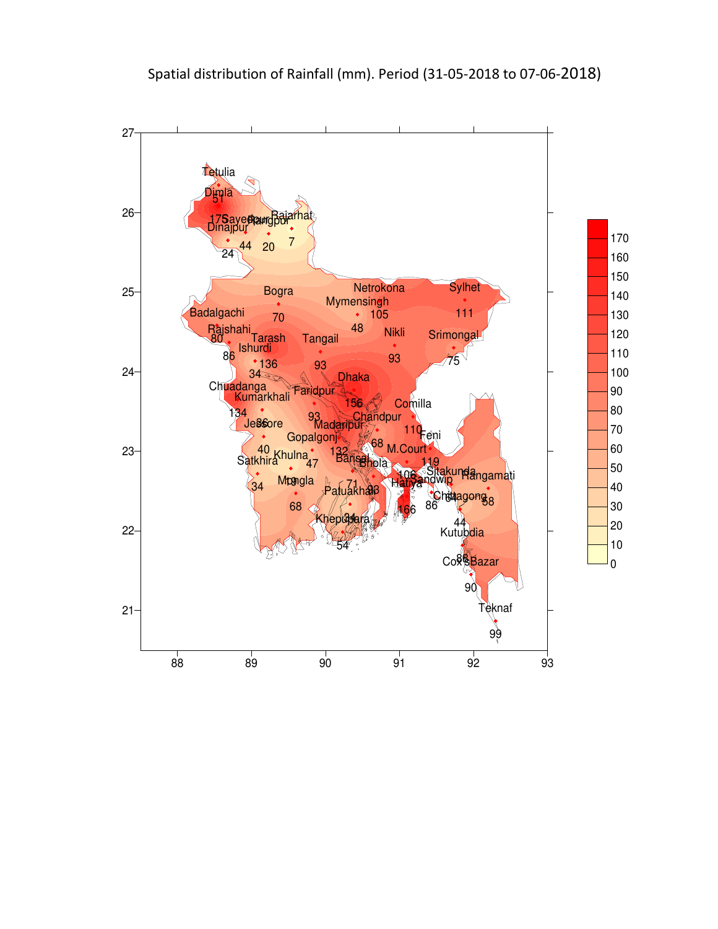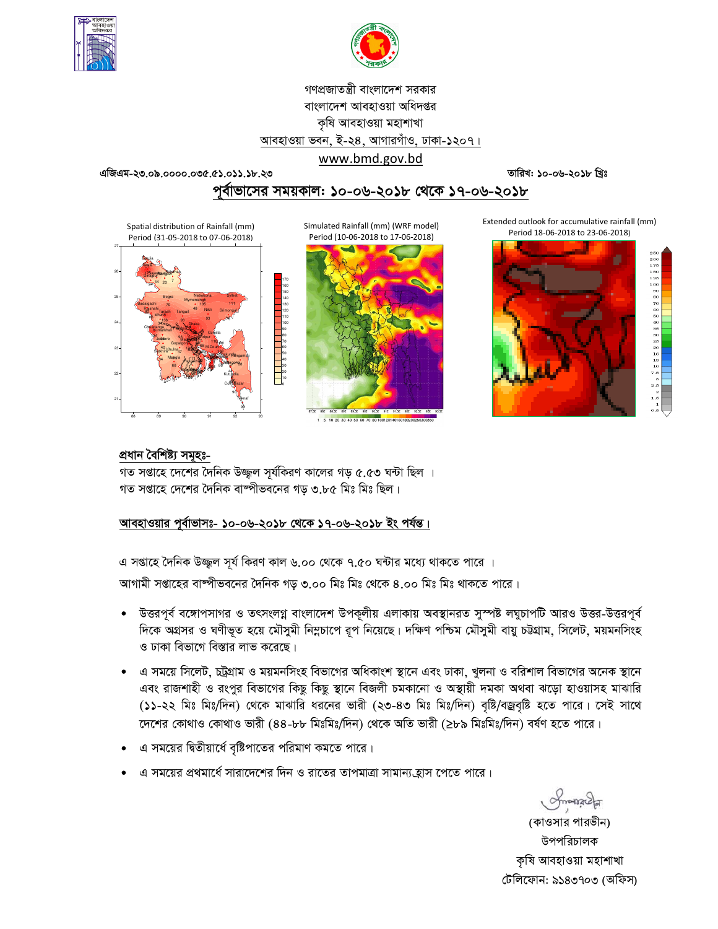



গণপ্রজাতন্ত্রী বাংলাদেশ সরকার বাংলাদেশ আবহাওয়া অধিদপ্তর কৃষি আবহাওয়া মহাশাখা আবহাওয়া ভবন, ই-২৪, আগারগাঁও, ঢাকা-১২০৭।

www.bmd.gov.bd এজিএম-২৩.০৯.০০০০.০৩৫.৫১.০১১.১৮.২৩

তারিখ: ১০-০৬-২০১৮ খ্রিঃ

# পূর্বাভাসের সময়কাল: ১০-০৬-২০১৮ থেকে ১৭-০৬-২০১৮



Simulated Rainfall (mm) (WRF model) Period (10-06-2018 to 17-06-2018)



1 5 10 20 30 40 50 60 70 80 100 2014016

Extended outlook for accumulative rainfall (mm) Period 18-06-2018 to 23-06-2018)





## প্ৰধান বৈশিষ্ট্য সমূহঃ-

গত সপ্তাহে দেশের দৈনিক উজ্জল সূর্যকিরণ কালের গড় ৫.৫৩ ঘন্টা ছিল । গত সপ্তাহে দেশের দৈনিক বাষ্পীভবনের গড ৩.৮৫ মিঃ মিঃ ছিল।

# আবহাওয়ার পূর্বাভাসঃ- ১০-০৬-২০১৮ থেকে ১৭-০৬-২০১৮ ইং পর্যন্ত।

এ সপ্তাহে দৈনিক উজ্জল সূর্য কিরণ কাল ৬.০০ থেকে ৭.৫০ ঘন্টার মধ্যে থাকতে পারে ।

আগামী সপ্তাহের বাষ্পীভবনের দৈনিক গড় ৩.০০ মিঃ মিঃ থেকে ৪.০০ মিঃ মিঃ থাকতে পারে।

- উত্তরপূর্ব বঙ্গোপসাগর ও তৎসংলগ্ন বাংলাদেশ উপকূলীয় এলাকায় অবস্থানরত সুস্পষ্ট লঘুচাপটি আরও উত্তর-উত্তরপূর্ব  $\bullet$ দিকে অগ্রসর ও ঘণীভূত হয়ে মৌসুমী নিম্নচাপে রূপ নিয়েছে। দক্ষিণ পশ্চিম মৌসুমী বায়ু চউগ্রাম, সিলেট, ময়মনসিংহ ও ঢাকা বিভাগে বিস্তার লাভ করেছে।
- এ সময়ে সিলেট, চট্রগ্রাম ও ময়মনসিংহ বিভাগের অধিকাংশ স্থানে এবং ঢাকা, খুলনা ও বরিশাল বিভাগের অনেক স্থানে এবং রাজশাহী ও রংপুর বিভাগের কিছু কিছু স্থানে বিজলী চমকানো ও অস্থায়ী দমকা অথবা ঝড়ো হাওয়াসহ মাঝারি (১১-২২ মিঃ মিঃ/দিন) থেকে মাঝারি ধরনের ভারী (২৩-৪৩ মিঃ মিঃ/দিন) বৃষ্টি/বজ্রবৃষ্টি হতে পারে। সেই সাথে দেশের কোথাও কোথাও ভারী (৪৪-৮৮ মিঃমিঃ/দিন) থেকে অতি ভারী (≥৮৯ মিঃমিঃ/দিন) বর্ষণ হতে পারে।
- এ সময়ের দ্বিতীয়ার্ধে বৃষ্টিপাতের পরিমাণ কমতে পারে।
- এ সময়ের প্রথমার্ধে সারাদেশের দিন ও রাতের তাপমাত্রা সামান্য হ্রাস পেতে পারে।

(কাওসার পারভীন) উপপরিচালক কৃষি আবহাওয়া মহাশাখা টেলিফোন: ৯১৪৩৭০৩ (অফিস)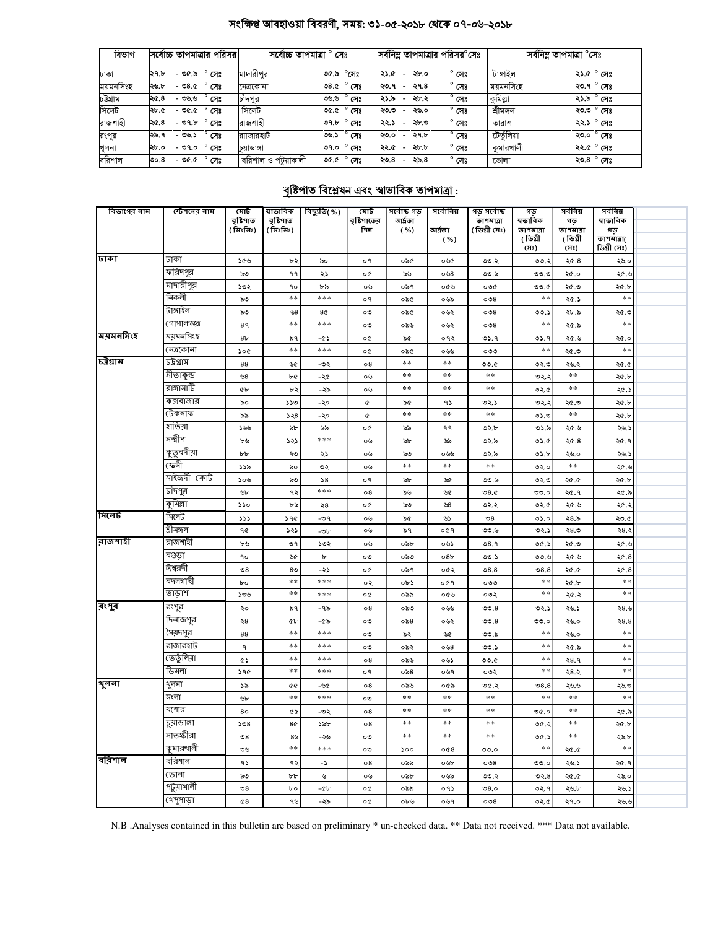# সংক্ষিপ্ত আবহাওয়া বিবরণী, সময়: ৩১-০৫-২০১৮ থেকে ০৭-০৬-২০১৮

| বিভাগ     | সর্বোচ্চ তাপমাত্রার পরিসর            | সৰ্বোচ্চ তাপমাত্ৰা ° সেঃ                     | সর্বনিম্ন তাপমাত্রার পরিসর°সেঃ                             | সৰ্বনিম্ন তাপমাত্ৰা °সেঃ    |  |  |
|-----------|--------------------------------------|----------------------------------------------|------------------------------------------------------------|-----------------------------|--|--|
| ঢাকা      | $^{\circ}$ সেঃ<br>- ৩৫.৯<br>২৭.৮     | মাদারীপুর<br>৩৫.৯ °সেঃ                       | $^{\circ}$ সেঃ<br>২৮.০<br>২১.৫<br>$\overline{\phantom{0}}$ | টাঙ্গাইল<br>২১.৫ ° সেঃ      |  |  |
| ময়মনসিংহ | $^{\circ}$ সেঃ<br>- ৩৪.৫<br>২৬.৮     | $\overline{\circ}8.0^\circ$ সেঃ<br>নেত্ৰকোনা | $^{\circ}$ সেঃ<br>২৭.৪<br>২৩.৭<br>$\overline{\phantom{0}}$ | ২৩.৭ ° সেঃ<br>ময়মনাসংহ     |  |  |
| চউগ্ৰাম   | $^{\circ}$ সেঃ<br>- ৩৬.৬<br>২৫.৪     | $^{\circ}$ সেঃ<br>৩৬.৬<br>চাদপর              | $^{\circ}$ সেঃ<br>২১.৯<br>২৮.২<br>$\overline{\phantom{a}}$ | কুমিল্লা<br>২১.৯ ° সেঃ      |  |  |
| সিলেট     | $^{\circ}$ সেঃ<br>- ৩৫.৫<br>২৮.৫     | সিলেট<br>ত $\alpha$ $^{\circ}$ সেঃ           | $^{\circ}$ সেঃ<br>২৬.০<br>২৩.৩<br>$\overline{\phantom{a}}$ | শ্ৰীমঙ্গল<br>২৩.৩ ° সেঃ     |  |  |
| রাজশাহী   | $^{\circ}$ সেঃ<br>$-99.5$<br>২৫.৪    | রাজশাহী<br>৩৭.৮ $^{\circ}$ সেঃ               | $^{\circ}$ সেঃ<br>২৮.৩<br>২২.১<br>$\overline{\phantom{0}}$ | ২২.১ ° সেঃ<br>তারাশ         |  |  |
| রংপুর     | $^{\circ}$ সেঃ<br>২৯.৭<br>-৩৬.১      | $^{\circ}$ সেঃ<br>রাাজারহাট<br>৩৬.১          | $^{\circ}$ সেঃ<br>২৭.৮<br>২৩.০<br>$\overline{\phantom{0}}$ | টেতুঁলিয়া<br>২৩.০ ° সেঃ    |  |  |
| খুলনা     | $^{\circ}$ সেঃ<br>২৮.০<br>- ৩৭.০     | $^{\circ}$ সেঃ<br>ە.90<br>চয়াডাঙ্গা         | $^{\circ}$ সেঃ<br>২৮.৮<br>২২.৫<br>$\overline{\phantom{0}}$ | ২২.৫ ° সেঃ<br>কমারখালী      |  |  |
| বরিশাল    | $^{\circ}$ সেঃ<br>- ৩৫.৫<br>ರಿಂ. $8$ | বরিশাল ও পটয়াকালী<br>৩৫.৫ ° সেঃ             | $^{\circ}$ সেঃ<br>২৯.৪<br>২৩.৪<br>$\overline{\phantom{a}}$ | ২৩.৪ $^{\circ}$ সেঃ<br>ভোলা |  |  |

# <u> বৃষ্টিপাত বিশ্লেষন এবং স্বাভাবিক তাপমাত্ৰা:</u>

| বিভাগের নাম | স্টেশনের নাম | মোট                         | ষাভাবিক               | $\overline{\phantom{a}}$ বিছ্যুতি $\overline{\phantom{a}}$ %) | মোট                | সৰ্বোচ্চ গড      | সর্বোনিম্ন      | গড সৰ্বোচ্চ                | গড                  | সৰ্বনিম্ন       | সর্বনিম্ন     |  |
|-------------|--------------|-----------------------------|-----------------------|---------------------------------------------------------------|--------------------|------------------|-----------------|----------------------------|---------------------|-----------------|---------------|--|
|             |              | বৃষ্টিশাত<br>(মিঃমিঃ)       | বৃষ্টিপাত<br>(মিঃমিঃ) |                                                               | বৃষ্টিশাতের<br>দিন | আৰ্দ্ৰতা<br>( %) | আৰ্ঘতা          | তাপমাত্রা<br>( ডিগ্ৰী সেঃ) | ষভাবিক<br>তাপমাত্রা | গড<br>তাপমাত্রা | ষাভাবিক<br>গড |  |
|             |              |                             |                       |                                                               |                    |                  | ( %)            |                            | (ডিগ্ৰী             | (ডিগ্ৰী         | তাপমাত্রা(    |  |
|             |              |                             |                       |                                                               |                    |                  |                 |                            | (সঃ)                | সেঃ)            | ডিগ্ৰী সেঃ)   |  |
| ঢাকা        | ঢাকা         | ১৫৬                         | ৮২                    | ৯০                                                            | o٩                 | ০৯৫              | ০৬৫             | ৩৩.২                       | ৩৩.২                | ২৫.8            | ২৬.০          |  |
|             | ফরিদপুর      | ৯৩                          | ۹۹                    | ২১                                                            | o¢                 | ৯৬               | ০৬৪             | ৩৩.৯                       | ৩৩.৩                | ২৫.০            | ২৫.৬          |  |
|             | মাদারীপুর    | ১৩২                         | ٩o                    | ৮৯                                                            | ০৬                 | ০৯৭              | ০৫৬             | ০৩৫                        | ৩৩.৫                | ২৫.৩            | ২৫.৮          |  |
|             | নিকলী        | ৯৩                          | $\ast\ast$            | ***                                                           | o٩                 | ০৯৫              | ০৬৯             | $\circ$                    | $**$                | ২৫.১            | $*\ast$       |  |
|             | টাঙ্গাইল     | ৯৩                          | ৬৪                    | 8¢                                                            | ০৩                 | ০৯৫              | ০৬২             | $\circ$                    | ৩৩.১                | ২৮.৯            | ৩.১২          |  |
|             | গোপালগজ্ঞ    | 8٩                          | $**$                  | ***                                                           | ೲ                  | ০৯৬              | ০৬২             | $\circ$                    | $**$                | ২৫.৯            | $* *$         |  |
| ময়মনসিংহ   | ময়মনসিংহ    | 8 <sub>b</sub>              | ৯৭                    | -৫১                                                           | o¢                 | ৯৫               | ०१२             | ৩১.৭                       | ৩১.৭                | ২৫.৬            | ২৫.০          |  |
|             | নেত্ৰকোনা    | 500                         | $\ast$ $\ast$         | $* * *$                                                       | o¢                 | ০৯৫              | ০৬৬             | ೲಀ                         | $\ast$              | ২৫.৩            | $\ast$ $\ast$ |  |
| ট্টগ্রাম    | চট্ৰগ্ৰাম    | 88                          | ৬৫                    | -৩২                                                           | 08                 | $*\ast$          | $\ast\ast$      | 0.00                       | ৩২.৩                | ২৬.২            | ২৫.৫          |  |
|             | সীতাকুন্ড    | ৬৪                          | ৮৫                    | -২৫                                                           | ০৬                 | $\ast\ast$       | **              | $\ast$ $\ast$              | ৩২.২                | $**$            | ২৫.৮          |  |
|             | রাঙ্গামার্টি | ¢Ъ                          | ৮২                    | -২৯                                                           | ০৬                 | $* *$            | $\pm$ $\pm$     | $\ast$ $\ast$              | ৩২.৫                | $\ast\ast$      | ২৫.১          |  |
|             | কক্সবাজার    | ৯০                          | ১১৩                   | -২০                                                           | ¢                  | ৯৫               | ۹১              | ৩২.১                       | ৩২.২                | ২৫.৩            | ২৫.৮          |  |
|             | টেকনাফ       | ৯৯                          | 558                   | -২০                                                           | ¢                  | **               | $\pm\pm$        | $\ast$ $\ast$              | ৩১.৩                | $\ast$ $\ast$   | ২৫.৮          |  |
|             | হাতিয়া      | ১৬৬                         | ৯৮                    | ৬৯                                                            | o¢                 | ৯৯               | ۹۹              | ৩২.৮                       | ৩১.৯                | ২৫.৬            | ২৬.১          |  |
|             | সন্দ্বীপ     | ৮৬                          | ১২১                   | $* * *$                                                       | ০৬                 | ৯৮               | ৬৯              | ৩২.৯                       | 0.60                | 20.8            | ২৫.৭          |  |
|             | কুতুবদীয়া   | ${\tt b}$                   | ৭৩                    | ২১                                                            | ০৬                 | ৯৩               | ০৬৬             | ৩২.৯                       | ৩১.৮                | ২৬.০            | ২৬.১          |  |
|             | কেনী         | ১১৯                         | ৯০                    | ৩২                                                            | ০৬                 | **               | $**$            | $\ast$ $\ast$              | ৩২.০                | $**$            | ২৫.৬          |  |
|             | মাইজদী কোর্ট | ১০৬                         | ৯৩                    | 58                                                            | o٩                 | ৯৮               | ৬৫              | ৩৩.৬                       | ৩২.৩                | 20.05           | ২৫.৮          |  |
|             | চাঁদপুর      | ৬৮                          | ৭২                    | ***                                                           | $\circ 8$          | ৯৬               | ৬৫              | 08.0                       | ৩৩.০                | ২৫.৭            | ২৫.৯          |  |
|             | কুমিল্লা     | ১১০                         | ৮৯                    | ২৪                                                            | o¢                 | ৯৩               | ৬৪              | ৩২.২                       | ৩২.৫                | ৩. ১২           | ২৫.২          |  |
| সিলেট       | সিলেট        | ددد                         | 296                   | -৩৭                                                           | ০৬                 | ৯৫               | ৬১              | $\mathbin{\textcirc} 8$    | ৩১.০                | ২8.৯            | ২৩.৫          |  |
|             | শ্ৰীমঙ্গল    | ৭৫                          | ১২১                   | -৩৮                                                           | ০৬                 | ৯৭               | ०৫१             | ৩৩.৬                       | ৩২.১                | ২৪.৩            | 28.2          |  |
| রাজশাহী     | রাজশাহী      | ৮৬                          | ৩৭                    | ১৩২                                                           | ০৬                 | ০৯৮              | ০৬১             | 08.9                       | ৩৫.১                | ২৫.৩            | ২৫.৬          |  |
|             | বগুড়া       | ٩o                          | ৬৫                    | $\mathbf b$                                                   | ০৩                 | ০৯৩              | 08 <sub>b</sub> | ৩৩.১                       | ৩৩.৬                | ৩.১২            | 20.8          |  |
|             | ঈশ্বরদী      | $\mathcal{S}8$              | 8 <sub>0</sub>        | -২১                                                           | o¢                 | ০৯৭              | ০৫২             | 08.8                       | 08.8                | ২৫.৫            | ২৫.8          |  |
|             | বদলগাষী      | $b^{\circ}$                 | $\pm$ $\pm$           | $* * *$                                                       | ০২                 | ob3              | ०৫१             | ೲಀ                         | $\ast$ $\ast$       | ২৫.৮            | $**$          |  |
|             | তাডাশ        | ১৩৬                         | $\pm$ $\pm$           | ***                                                           | o¢                 | ০৯৯              | ০৫৬             | ০৩২                        | $**$                | ২৫.২            | $**$          |  |
| রংপুর       | রংপুর        | ২০                          | ৯৭                    | -৭৯                                                           | 08                 | ০৯৩              | ০৬৬             | 00.8                       | ৩২.১                | ২৬.১            | ২৪.৬          |  |
|             | দিনাজপুর     | $\geqslant 8$               | ¢Ъ                    | -৫৯                                                           | ಂ                  | ০৯৪              | ০৬২             | 00.8                       | ৩৩.০                | ২৬.০            | 28.8          |  |
|             | সৈয়দপুর     | 88                          | $**$                  | ***                                                           | ಂ                  | ৯২               | ৬৫              | ৩৩.৯                       | $**$                | ২৬.০            | $\ast\ast$    |  |
|             | রাজারহাট     | ٩                           | $\pm$ $\pm$           | $* * *$                                                       | ০৩                 | ০৯২              | ০৬৪             | ৩৩.১                       | $\ast$ $\ast$       | ২৫.৯            | $\ast$ $\ast$ |  |
|             | তেতুঁলিয়া   | ৫১                          | $\ast$                | ***                                                           | 08                 | ০৯৬              | ০৬১             | ৩৩.৫                       | $\ast$ $\ast$       | ২8.৭            | $\ast$ $\ast$ |  |
|             | ডিমলা        | 590                         | $**$                  | $* * *$                                                       | o٩                 | ০৯৪              | ০৬৭             | ০৩২                        | $**$                | ২৪.২            | $**$          |  |
| शूनना       | থুলনা        | ১৯                          | QG.                   | -৬৫                                                           | $\circ 8$          | ০৯৬              | ০৫৯             | ৩৫.২                       | 08.8                | ২৬.৬            | ২৬.৩          |  |
|             | মংলা         | ৬৮                          | $\ast$ $\ast$         | ***                                                           | ೲ                  | **               | $\ast$ $\ast$   | $\ast$ $\ast$              | $**$                | $**$            | $**$          |  |
|             | যশোর         | 80                          | ৫৯                    | -৩২                                                           | $^{\circ8}$        | $**$             | $**$            | $\ast$ $\ast$              | ৩৫.০                | $\ast$ $\ast$   | ২৫.৯          |  |
|             | চুয়াডাঙ্গা  | 508                         | 8¢                    | ১৯৮                                                           | $\circ$ 8          | **               | **              | $\ast\ast$                 | ৩৫.২                | $\ast\ast$      | ২৫.৮          |  |
|             | সাতক্ষীরা    | $\mathcal{S}8$              | 8 <sub>b</sub>        | -২৬                                                           | ಂ                  | **               | $\ast$ $\ast$   | $\ast$ $\ast$              | ৩৫.১                | $**$            | ২৬.৮          |  |
|             | কুমারথালী    | ৩৬                          | $\pm$ $\pm$           | $* * *$                                                       | ০৩                 | 500              | 0@8             | 0.0                        | $\ast$              | 20.0            | $**$          |  |
| বরিশাল      | বরিশাল       | ۹১                          | ۹২                    | - ১                                                           | ο8                 | ০৯৯              | ০৬৮             | $\circ$                    | ಲಿಲಿ. $\circ$       | ২৬.১            | ২৫.৭          |  |
|             | ভোলা         | ৯৩                          | ${\tt b} {\tt b}$     | ৬                                                             | ০৬                 | ০৯৮              | ০৬৯             | ৩৩.২                       | 02.8                | 20.0            | ২৬.০          |  |
|             | পটুয়াথালী   | $\mathcal{S}^{\mathcal{O}}$ | bo                    | -45                                                           | o¢                 | ০৯৯              | ०१১             | 08.0                       | ৩২.৭                | ২৬.৮            | ২৬.১          |  |
|             | খেপুপাড়া    | 68                          | ৭৬                    | -২৯                                                           | o¢                 | ০৮৬              | ০৬৭             | 008                        | ৩২.৫                | ২৭.০            | ২৬.৬          |  |
|             |              |                             |                       |                                                               |                    |                  |                 |                            |                     |                 |               |  |

N.B .Analyses contained in this bulletin are based on preliminary \* un-checked data. \*\* Data not received. \*\*\* Data not available.